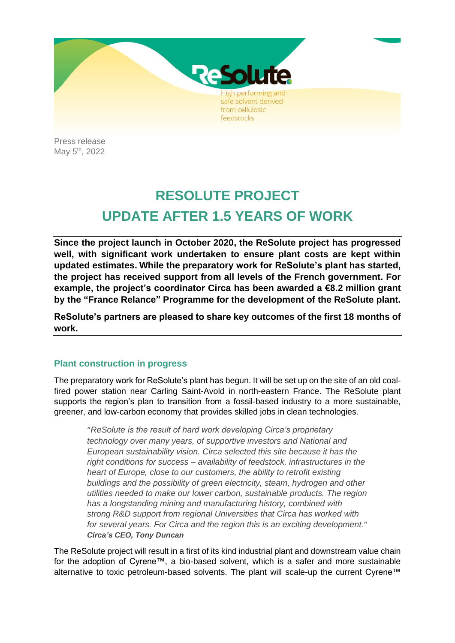

Press release May 5<sup>th</sup>, 2022

# **RESOLUTE PROJECT UPDATE AFTER 1.5 YEARS OF WORK**

**Since the project launch in October 2020, the ReSolute project has progressed well, with significant work undertaken to ensure plant costs are kept within updated estimates. While the preparatory work for ReSolute's plant has started, the project has received support from all levels of the French government. For example, the project's coordinator Circa has been awarded a €8.2 million grant by the "France Relance" Programme for the development of the ReSolute plant.**

**ReSolute's partners are pleased to share key outcomes of the first 18 months of work.**

# **Plant construction in progress**

The preparatory work for ReSolute's plant has begun. It will be set up on the site of an old coalfired power station near Carling Saint-Avold in north-eastern France. The ReSolute plant supports the region's plan to transition from a fossil-based industry to a more sustainable, greener, and low-carbon economy that provides skilled jobs in clean technologies.

"*ReSolute is the result of hard work developing Circa's proprietary technology over many years, of supportive investors and National and European sustainability vision. Circa selected this site because it has the right conditions for success – availability of feedstock, infrastructures in the heart of Europe, close to our customers, the ability to retrofit existing buildings and the possibility of green electricity, steam, hydrogen and other utilities needed to make our lower carbon, sustainable products. The region has a longstanding mining and manufacturing history, combined with strong R&D support from regional Universities that Circa has worked with for several years. For Circa and the region this is an exciting development.*" *Circa's CEO, Tony Duncan*

The ReSolute project will result in a first of its kind industrial plant and downstream value chain for the adoption of Cyrene™, a bio-based solvent, which is a safer and more sustainable alternative to toxic petroleum-based solvents. The plant will scale-up the current Cyrene™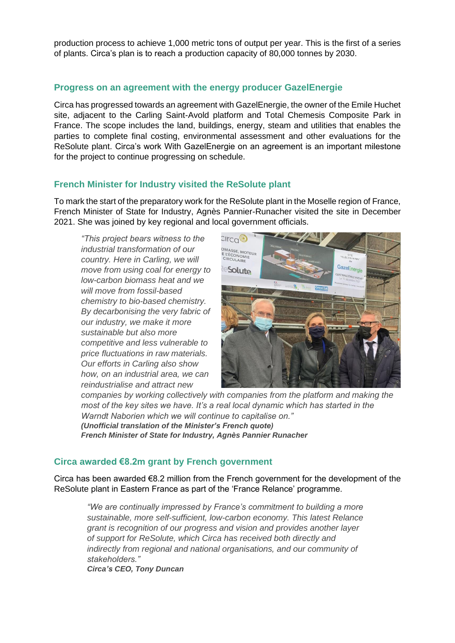production process to achieve 1,000 metric tons of output per year. This is the first of a series of plants. Circa's plan is to reach a production capacity of 80,000 tonnes by 2030.

# **Progress on an agreement with the energy producer GazelEnergie**

Circa has progressed towards an agreement with GazelEnergie, the owner of the Emile Huchet site, adjacent to the Carling Saint-Avold platform and Total Chemesis Composite Park in France. The scope includes the land, buildings, energy, steam and utilities that enables the parties to complete final costing, environmental assessment and other evaluations for the ReSolute plant. Circa's work With GazelEnergie on an agreement is an important milestone for the project to continue progressing on schedule.

# **French Minister for Industry visited the ReSolute plant**

To mark the start of the preparatory work for the ReSolute plant in the Moselle region of France, French Minister of State for Industry, Agnès Pannier-Runacher visited the site in December 2021. She was joined by key regional and local government officials.

*"This project bears witness to the industrial transformation of our country. Here in Carling, we will move from using coal for energy to low-carbon biomass heat and we will move from fossil-based chemistry to bio-based chemistry. By decarbonising the very fabric of our industry, we make it more sustainable but also more competitive and less vulnerable to price fluctuations in raw materials. Our efforts in Carling also show how, on an industrial area, we can reindustrialise and attract new* 



*companies by working collectively with companies from the platform and making the most of the key sites we have. It's a real local dynamic which has started in the Warndt Naborien which we will continue to capitalise on." (Unofficial translation of the Minister's French quote) French Minister of State for Industry, Agnès Pannier Runacher*

# **Circa awarded €8.2m grant by French government**

Circa has been awarded €8.2 million from the French government for the development of the ReSolute plant in Eastern France as part of the 'France Relance' programme.

*"We are continually impressed by France's commitment to building a more sustainable, more self-sufficient, low-carbon economy. This latest Relance grant is recognition of our progress and vision and provides another layer of support for ReSolute, which Circa has received both directly and indirectly from regional and national organisations, and our community of stakeholders." Circa's CEO, Tony Duncan*